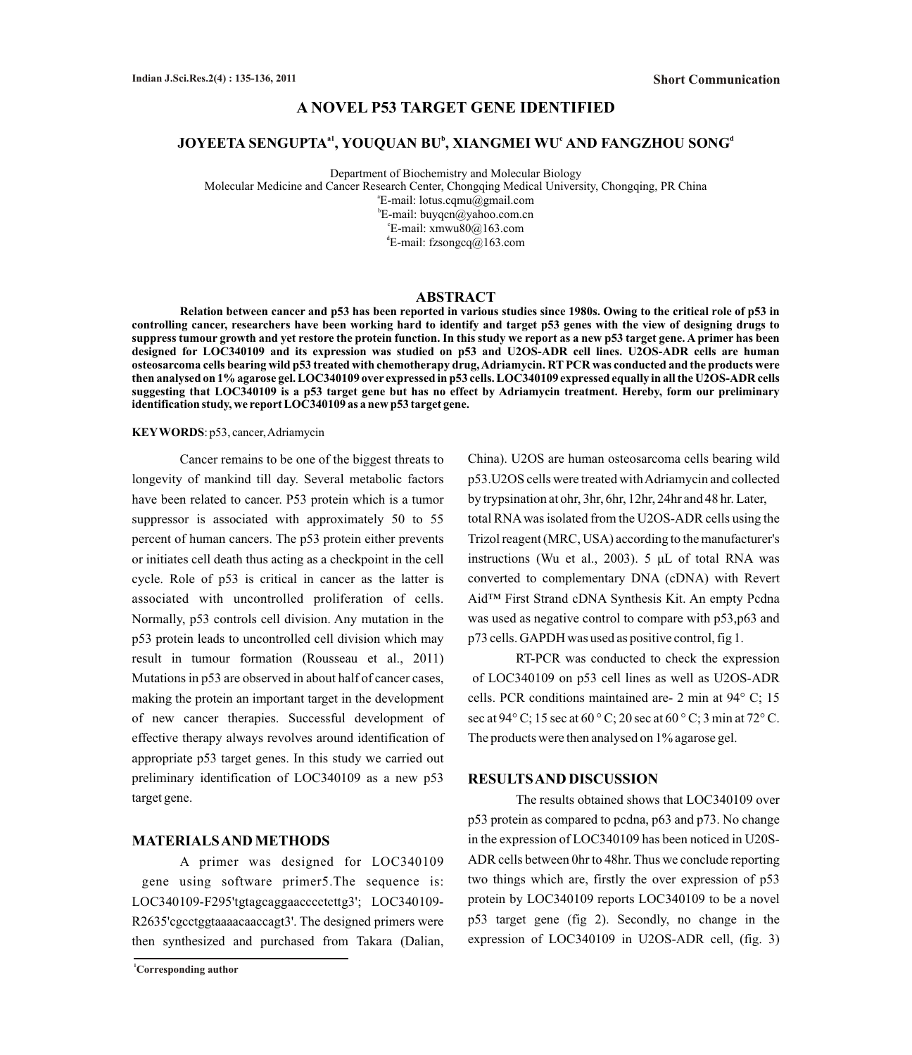# **A NOVEL P53 TARGET GENE IDENTIFIED**

# **a1 b c d JOYEETA SENGUPTA , YOUQUAN BU , XIANGMEI WU AND FANGZHOU SONG**

Department of Biochemistry and Molecular Biology Molecular Medicine and Cancer Research Center, Chongqing Medical University, Chongqing, PR China a E-mail: lotus.cqmu@gmail.com b E-mail: buyqcn@yahoo.com.cn c E-mail: xmwu80@163.com d E-mail: fzsongcq@163.com

# **ABSTRACT**

**Relation between cancer and p53 has been reported in various studies since 1980s. Owing to the critical role of p53 in controlling cancer, researchers have been working hard to identify and target p53 genes with the view of designing drugs to suppress tumour growth and yet restore the protein function. In this study we report as a new p53 target gene. A primer has been designed for LOC340109 and its expression was studied on p53 and U2OS-ADR cell lines. U2OS-ADR cells are human osteosarcoma cells bearing wild p53 treated with chemotherapy drug, Adriamycin. RTPCR was conducted and the products were then analysed on 1% agarose gel. LOC340109 over expressed in p53 cells. LOC340109 expressed equally in all the U2OS-ADR cells suggesting that LOC340109 is a p53 target gene but has no effect by Adriamycin treatment. Hereby, form our preliminary identification study, we report LOC340109 as a new p53 target gene.**

#### **KEYWORDS**: p53, cancer, Adriamycin

Cancer remains to be one of the biggest threats to longevity of mankind till day. Several metabolic factors have been related to cancer. P53 protein which is a tumor suppressor is associated with approximately 50 to 55 percent of human cancers. The p53 protein either prevents or initiates cell death thus acting as a checkpoint in the cell cycle. Role of p53 is critical in cancer as the latter is associated with uncontrolled proliferation of cells. Normally, p53 controls cell division. Any mutation in the p53 protein leads to uncontrolled cell division which may result in tumour formation (Rousseau et al., 2011) Mutations in p53 are observed in about half of cancer cases, making the protein an important target in the development of new cancer therapies. Successful development of effective therapy always revolves around identification of appropriate p53 target genes. In this study we carried out preliminary identification of LOC340109 as a new p53 target gene.

## **MATERIALS AND METHODS**

A primer was designed for LOC340109 gene using software primer5.The sequence is: LOC340109-F295'tgtagcaggaacccctcttg3'; LOC340109- R2635'cgcctggtaaaacaaccagt3'. The designed primers were then synthesized and purchased from Takara (Dalian,

**<sup>1</sup>Corresponding author**

China). U2OS are human osteosarcoma cells bearing wild p53.U2OS cells were treated with Adriamycin and collected by trypsination at ohr, 3hr, 6hr, 12hr, 24hr and 48 hr. Later, total RNAwas isolated from the U2OS-ADR cells using the Trizol reagent (MRC, USA) according to the manufacturer's instructions (Wu et al., 2003). 5 μL of total RNA was converted to complementary DNA (cDNA) with Revert Aid™ First Strand cDNA Synthesis Kit. An empty Pcdna was used as negative control to compare with p53,p63 and p73 cells. GAPDH was used as positive control, fig 1.

RT-PCR was conducted to check the expression of LOC340109 on p53 cell lines as well as U2OS-ADR cells. PCR conditions maintained are- 2 min at 94° C; 15 sec at 94° C; 15 sec at 60 ° C; 20 sec at 60 ° C; 3 min at 72° C. The products were then analysed on 1% agarose gel.

## **RESULTS AND DISCUSSION**

The results obtained shows that LOC340109 over p53 protein as compared to pcdna, p63 and p73. No change in the expression of LOC340109 has been noticed in U20S-ADR cells between 0hr to 48hr. Thus we conclude reporting two things which are, firstly the over expression of p53 protein by LOC340109 reports LOC340109 to be a novel p53 target gene (fig 2). Secondly, no change in the expression of LOC340109 in U2OS-ADR cell, (fig. 3)